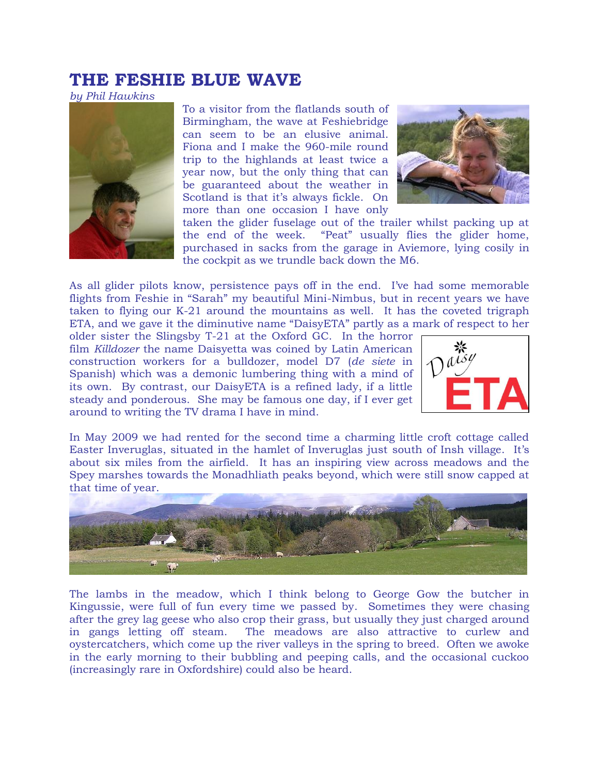## **THE FESHIE BLUE WAVE**

*by Phil Hawkins*



To a visitor from the flatlands south of Birmingham, the wave at Feshiebridge can seem to be an elusive animal. Fiona and I make the 960-mile round trip to the highlands at least twice a year now, but the only thing that can be guaranteed about the weather in Scotland is that it's always fickle. On more than one occasion I have only



taken the glider fuselage out of the trailer whilst packing up at the end of the week. "Peat" usually flies the glider home, purchased in sacks from the garage in Aviemore, lying cosily in the cockpit as we trundle back down the M6.

As all glider pilots know, persistence pays off in the end. I've had some memorable flights from Feshie in "Sarah" my beautiful Mini-Nimbus, but in recent years we have taken to flying our K-21 around the mountains as well. It has the coveted trigraph ETA, and we gave it the diminutive name "DaisyETA" partly as a mark of respect to her

older sister the Slingsby T-21 at the Oxford GC. In the horror film *Killdozer* the name Daisyetta was coined by Latin American construction workers for a bulldozer, model D7 (*de siete* in Spanish) which was a demonic lumbering thing with a mind of its own. By contrast, our DaisyETA is a refined lady, if a little steady and ponderous. She may be famous one day, if I ever get around to writing the TV drama I have in mind.



In May 2009 we had rented for the second time a charming little croft cottage called Easter Inveruglas, situated in the hamlet of Inveruglas just south of Insh village. It's about six miles from the airfield. It has an inspiring view across meadows and the Spey marshes towards the Monadhliath peaks beyond, which were still snow capped at that time of year.



The lambs in the meadow, which I think belong to George Gow the butcher in Kingussie, were full of fun every time we passed by. Sometimes they were chasing after the grey lag geese who also crop their grass, but usually they just charged around in gangs letting off steam. The meadows are also attractive to curlew and oystercatchers, which come up the river valleys in the spring to breed. Often we awoke in the early morning to their bubbling and peeping calls, and the occasional cuckoo (increasingly rare in Oxfordshire) could also be heard.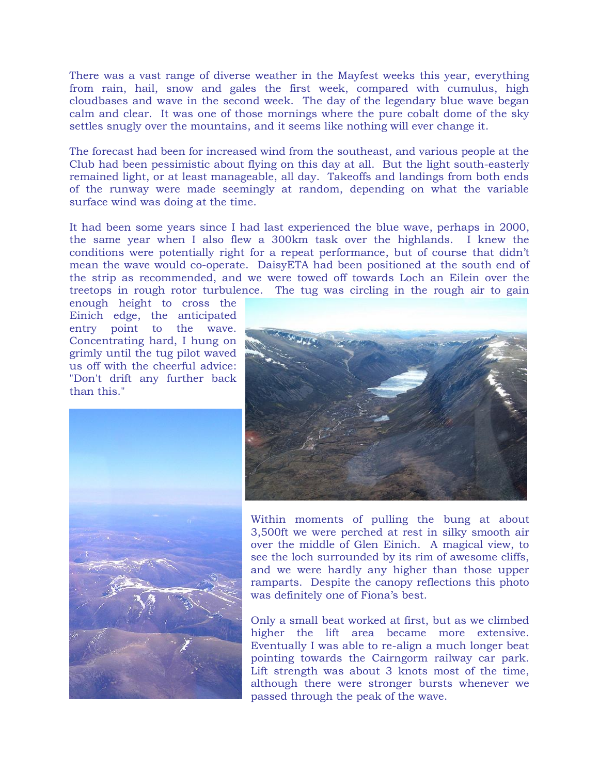There was a vast range of diverse weather in the Mayfest weeks this year, everything from rain, hail, snow and gales the first week, compared with cumulus, high cloudbases and wave in the second week. The day of the legendary blue wave began calm and clear. It was one of those mornings where the pure cobalt dome of the sky settles snugly over the mountains, and it seems like nothing will ever change it.

The forecast had been for increased wind from the southeast, and various people at the Club had been pessimistic about flying on this day at all. But the light south-easterly remained light, or at least manageable, all day. Takeoffs and landings from both ends of the runway were made seemingly at random, depending on what the variable surface wind was doing at the time.

It had been some years since I had last experienced the blue wave, perhaps in 2000, the same year when I also flew a 300km task over the highlands. I knew the conditions were potentially right for a repeat performance, but of course that didn't mean the wave would co-operate. DaisyETA had been positioned at the south end of the strip as recommended, and we were towed off towards Loch an Eilein over the treetops in rough rotor turbulence. The tug was circling in the rough air to gain

enough height to cross the Einich edge, the anticipated entry point to the wave. Concentrating hard, I hung on grimly until the tug pilot waved us off with the cheerful advice: "Don't drift any further back than this."





Within moments of pulling the bung at about 3,500ft we were perched at rest in silky smooth air over the middle of Glen Einich. A magical view, to see the loch surrounded by its rim of awesome cliffs, and we were hardly any higher than those upper ramparts. Despite the canopy reflections this photo was definitely one of Fiona's best.

Only a small beat worked at first, but as we climbed higher the lift area became more extensive. Eventually I was able to re-align a much longer beat pointing towards the Cairngorm railway car park. Lift strength was about 3 knots most of the time, although there were stronger bursts whenever we passed through the peak of the wave.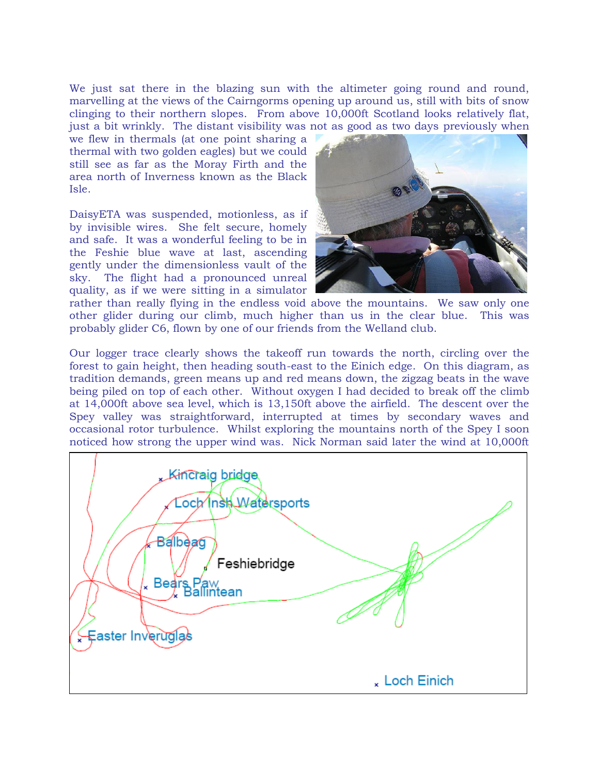We just sat there in the blazing sun with the altimeter going round and round, marvelling at the views of the Cairngorms opening up around us, still with bits of snow clinging to their northern slopes. From above 10,000ft Scotland looks relatively flat, just a bit wrinkly. The distant visibility was not as good as two days previously when

we flew in thermals (at one point sharing a thermal with two golden eagles) but we could still see as far as the Moray Firth and the area north of Inverness known as the Black Isle.

DaisyETA was suspended, motionless, as if by invisible wires. She felt secure, homely and safe. It was a wonderful feeling to be in the Feshie blue wave at last, ascending gently under the dimensionless vault of the sky. The flight had a pronounced unreal quality, as if we were sitting in a simulator



rather than really flying in the endless void above the mountains. We saw only one other glider during our climb, much higher than us in the clear blue. This was probably glider C6, flown by one of our friends from the Welland club.

Our logger trace clearly shows the takeoff run towards the north, circling over the forest to gain height, then heading south-east to the Einich edge. On this diagram, as tradition demands, green means up and red means down, the zigzag beats in the wave being piled on top of each other. Without oxygen I had decided to break off the climb at 14,000ft above sea level, which is 13,150ft above the airfield. The descent over the Spey valley was straightforward, interrupted at times by secondary waves and occasional rotor turbulence. Whilst exploring the mountains north of the Spey I soon noticed how strong the upper wind was. Nick Norman said later the wind at 10,000ft